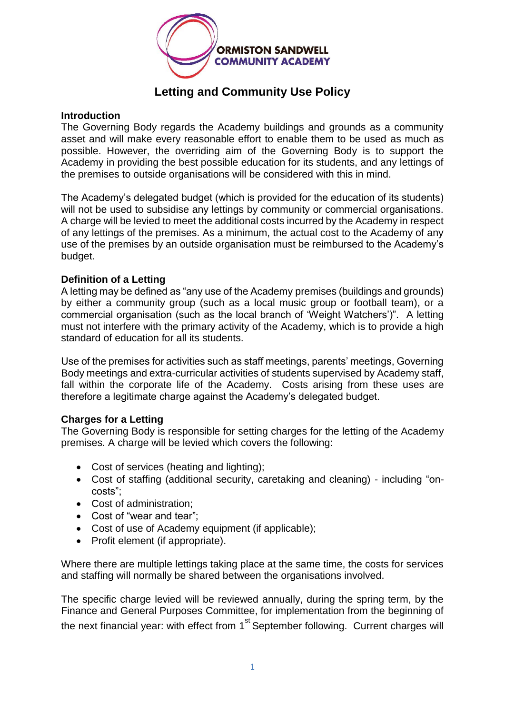

## **Letting and Community Use Policy**

## **Introduction**

The Governing Body regards the Academy buildings and grounds as a community asset and will make every reasonable effort to enable them to be used as much as possible. However, the overriding aim of the Governing Body is to support the Academy in providing the best possible education for its students, and any lettings of the premises to outside organisations will be considered with this in mind.

The Academy's delegated budget (which is provided for the education of its students) will not be used to subsidise any lettings by community or commercial organisations. A charge will be levied to meet the additional costs incurred by the Academy in respect of any lettings of the premises. As a minimum, the actual cost to the Academy of any use of the premises by an outside organisation must be reimbursed to the Academy's budget.

## **Definition of a Letting**

A letting may be defined as "any use of the Academy premises (buildings and grounds) by either a community group (such as a local music group or football team), or a commercial organisation (such as the local branch of 'Weight Watchers')". A letting must not interfere with the primary activity of the Academy, which is to provide a high standard of education for all its students.

Use of the premises for activities such as staff meetings, parents' meetings, Governing Body meetings and extra-curricular activities of students supervised by Academy staff, fall within the corporate life of the Academy. Costs arising from these uses are therefore a legitimate charge against the Academy's delegated budget.

## **Charges for a Letting**

The Governing Body is responsible for setting charges for the letting of the Academy premises. A charge will be levied which covers the following:

- Cost of services (heating and lighting);
- Cost of staffing (additional security, caretaking and cleaning) including "oncosts";
- Cost of administration:
- Cost of "wear and tear":
- Cost of use of Academy equipment (if applicable);
- Profit element (if appropriate).

Where there are multiple lettings taking place at the same time, the costs for services and staffing will normally be shared between the organisations involved.

The specific charge levied will be reviewed annually, during the spring term, by the Finance and General Purposes Committee, for implementation from the beginning of the next financial year: with effect from  $1<sup>st</sup>$  September following. Current charges will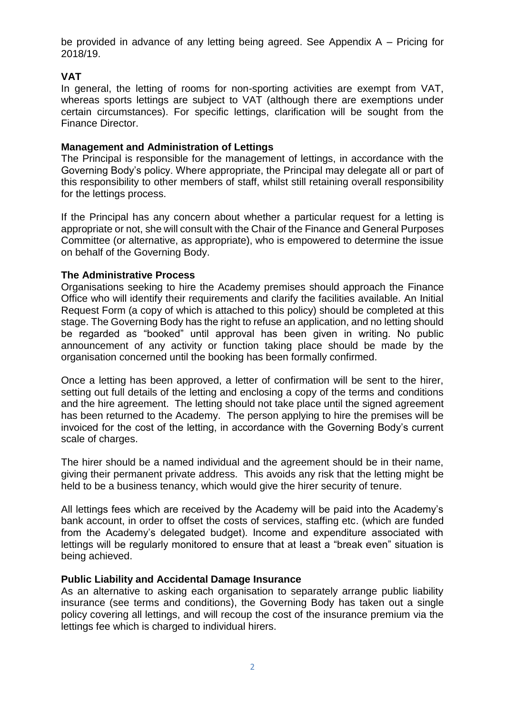be provided in advance of any letting being agreed. See Appendix A – Pricing for 2018/19.

## **VAT**

In general, the letting of rooms for non-sporting activities are exempt from VAT, whereas sports lettings are subject to VAT (although there are exemptions under certain circumstances). For specific lettings, clarification will be sought from the Finance Director.

## **Management and Administration of Lettings**

The Principal is responsible for the management of lettings, in accordance with the Governing Body's policy. Where appropriate, the Principal may delegate all or part of this responsibility to other members of staff, whilst still retaining overall responsibility for the lettings process.

If the Principal has any concern about whether a particular request for a letting is appropriate or not, she will consult with the Chair of the Finance and General Purposes Committee (or alternative, as appropriate), who is empowered to determine the issue on behalf of the Governing Body.

## **The Administrative Process**

Organisations seeking to hire the Academy premises should approach the Finance Office who will identify their requirements and clarify the facilities available. An Initial Request Form (a copy of which is attached to this policy) should be completed at this stage. The Governing Body has the right to refuse an application, and no letting should be regarded as "booked" until approval has been given in writing. No public announcement of any activity or function taking place should be made by the organisation concerned until the booking has been formally confirmed.

Once a letting has been approved, a letter of confirmation will be sent to the hirer, setting out full details of the letting and enclosing a copy of the terms and conditions and the hire agreement. The letting should not take place until the signed agreement has been returned to the Academy. The person applying to hire the premises will be invoiced for the cost of the letting, in accordance with the Governing Body's current scale of charges.

The hirer should be a named individual and the agreement should be in their name, giving their permanent private address. This avoids any risk that the letting might be held to be a business tenancy, which would give the hirer security of tenure.

All lettings fees which are received by the Academy will be paid into the Academy's bank account, in order to offset the costs of services, staffing etc. (which are funded from the Academy's delegated budget). Income and expenditure associated with lettings will be regularly monitored to ensure that at least a "break even" situation is being achieved.

## **Public Liability and Accidental Damage Insurance**

As an alternative to asking each organisation to separately arrange public liability insurance (see terms and conditions), the Governing Body has taken out a single policy covering all lettings, and will recoup the cost of the insurance premium via the lettings fee which is charged to individual hirers.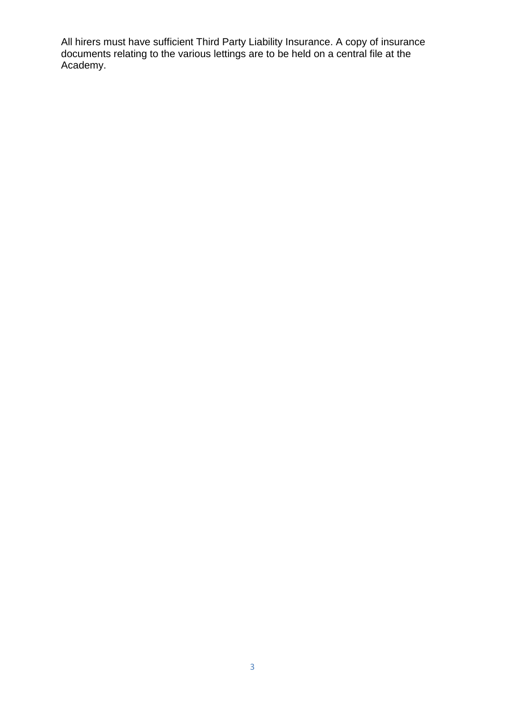All hirers must have sufficient Third Party Liability Insurance. A copy of insurance documents relating to the various lettings are to be held on a central file at the Academy.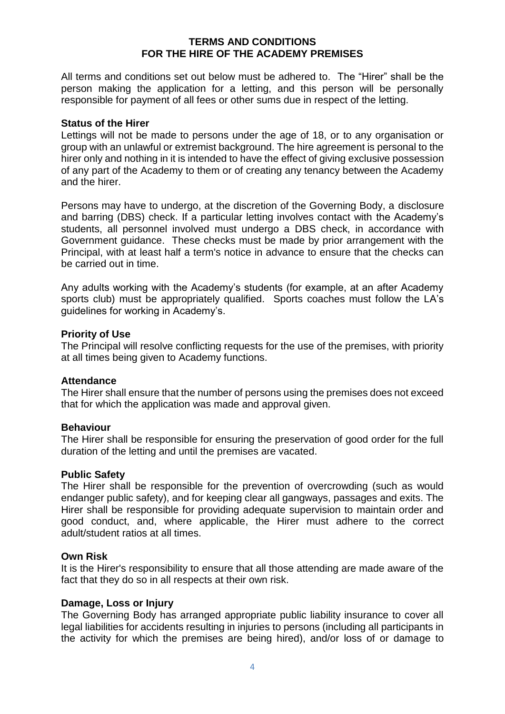## **TERMS AND CONDITIONS FOR THE HIRE OF THE ACADEMY PREMISES**

All terms and conditions set out below must be adhered to. The "Hirer" shall be the person making the application for a letting, and this person will be personally responsible for payment of all fees or other sums due in respect of the letting.

### **Status of the Hirer**

Lettings will not be made to persons under the age of 18, or to any organisation or group with an unlawful or extremist background. The hire agreement is personal to the hirer only and nothing in it is intended to have the effect of giving exclusive possession of any part of the Academy to them or of creating any tenancy between the Academy and the hirer.

Persons may have to undergo, at the discretion of the Governing Body, a disclosure and barring (DBS) check. If a particular letting involves contact with the Academy's students, all personnel involved must undergo a DBS check, in accordance with Government guidance. These checks must be made by prior arrangement with the Principal, with at least half a term's notice in advance to ensure that the checks can be carried out in time.

Any adults working with the Academy's students (for example, at an after Academy sports club) must be appropriately qualified. Sports coaches must follow the LA's guidelines for working in Academy's.

### **Priority of Use**

The Principal will resolve conflicting requests for the use of the premises, with priority at all times being given to Academy functions.

### **Attendance**

The Hirer shall ensure that the number of persons using the premises does not exceed that for which the application was made and approval given.

### **Behaviour**

The Hirer shall be responsible for ensuring the preservation of good order for the full duration of the letting and until the premises are vacated.

#### **Public Safety**

The Hirer shall be responsible for the prevention of overcrowding (such as would endanger public safety), and for keeping clear all gangways, passages and exits. The Hirer shall be responsible for providing adequate supervision to maintain order and good conduct, and, where applicable, the Hirer must adhere to the correct adult/student ratios at all times.

#### **Own Risk**

It is the Hirer's responsibility to ensure that all those attending are made aware of the fact that they do so in all respects at their own risk.

### **Damage, Loss or Injury**

The Governing Body has arranged appropriate public liability insurance to cover all legal liabilities for accidents resulting in injuries to persons (including all participants in the activity for which the premises are being hired), and/or loss of or damage to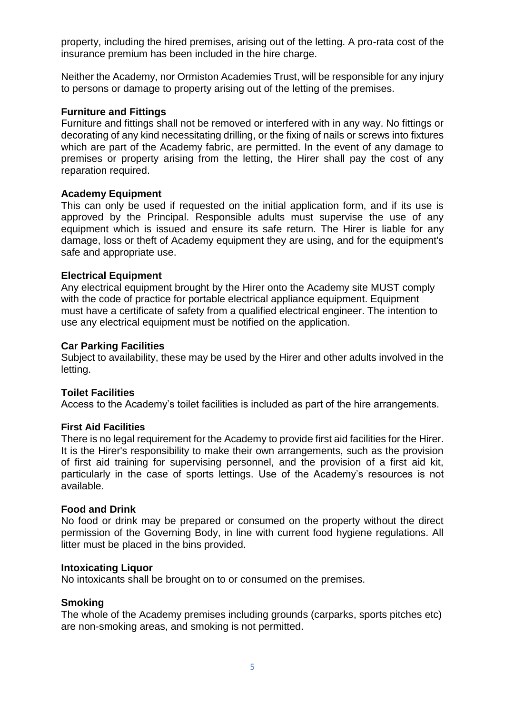property, including the hired premises, arising out of the letting. A pro-rata cost of the insurance premium has been included in the hire charge.

Neither the Academy, nor Ormiston Academies Trust, will be responsible for any injury to persons or damage to property arising out of the letting of the premises.

## **Furniture and Fittings**

Furniture and fittings shall not be removed or interfered with in any way. No fittings or decorating of any kind necessitating drilling, or the fixing of nails or screws into fixtures which are part of the Academy fabric, are permitted. In the event of any damage to premises or property arising from the letting, the Hirer shall pay the cost of any reparation required.

## **Academy Equipment**

This can only be used if requested on the initial application form, and if its use is approved by the Principal. Responsible adults must supervise the use of any equipment which is issued and ensure its safe return. The Hirer is liable for any damage, loss or theft of Academy equipment they are using, and for the equipment's safe and appropriate use.

## **Electrical Equipment**

Any electrical equipment brought by the Hirer onto the Academy site MUST comply with the code of practice for portable electrical appliance equipment. Equipment must have a certificate of safety from a qualified electrical engineer. The intention to use any electrical equipment must be notified on the application.

### **Car Parking Facilities**

Subject to availability, these may be used by the Hirer and other adults involved in the letting.

### **Toilet Facilities**

Access to the Academy's toilet facilities is included as part of the hire arrangements.

### **First Aid Facilities**

There is no legal requirement for the Academy to provide first aid facilities for the Hirer. It is the Hirer's responsibility to make their own arrangements, such as the provision of first aid training for supervising personnel, and the provision of a first aid kit, particularly in the case of sports lettings. Use of the Academy's resources is not available.

### **Food and Drink**

No food or drink may be prepared or consumed on the property without the direct permission of the Governing Body, in line with current food hygiene regulations. All litter must be placed in the bins provided.

### **Intoxicating Liquor**

No intoxicants shall be brought on to or consumed on the premises.

### **Smoking**

The whole of the Academy premises including grounds (carparks, sports pitches etc) are non-smoking areas, and smoking is not permitted.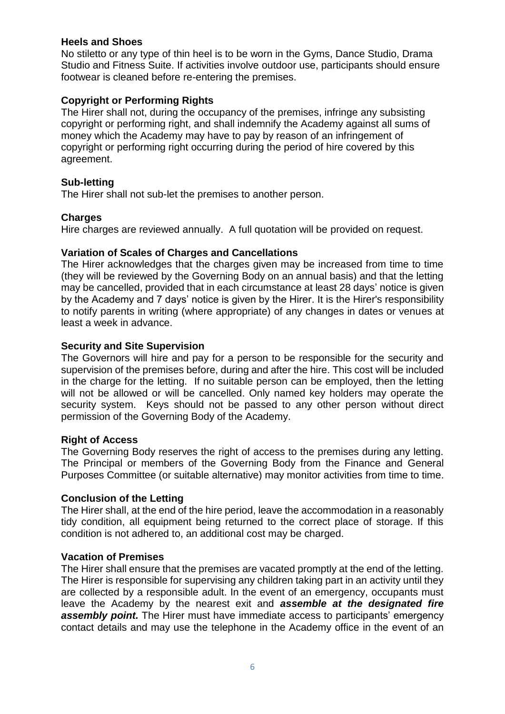## **Heels and Shoes**

No stiletto or any type of thin heel is to be worn in the Gyms, Dance Studio, Drama Studio and Fitness Suite. If activities involve outdoor use, participants should ensure footwear is cleaned before re-entering the premises.

## **Copyright or Performing Rights**

The Hirer shall not, during the occupancy of the premises, infringe any subsisting copyright or performing right, and shall indemnify the Academy against all sums of money which the Academy may have to pay by reason of an infringement of copyright or performing right occurring during the period of hire covered by this agreement.

## **Sub-letting**

The Hirer shall not sub-let the premises to another person.

## **Charges**

Hire charges are reviewed annually. A full quotation will be provided on request.

## **Variation of Scales of Charges and Cancellations**

The Hirer acknowledges that the charges given may be increased from time to time (they will be reviewed by the Governing Body on an annual basis) and that the letting may be cancelled, provided that in each circumstance at least 28 days' notice is given by the Academy and 7 days' notice is given by the Hirer. It is the Hirer's responsibility to notify parents in writing (where appropriate) of any changes in dates or venues at least a week in advance.

## **Security and Site Supervision**

The Governors will hire and pay for a person to be responsible for the security and supervision of the premises before, during and after the hire. This cost will be included in the charge for the letting. If no suitable person can be employed, then the letting will not be allowed or will be cancelled. Only named key holders may operate the security system. Keys should not be passed to any other person without direct permission of the Governing Body of the Academy.

## **Right of Access**

The Governing Body reserves the right of access to the premises during any letting. The Principal or members of the Governing Body from the Finance and General Purposes Committee (or suitable alternative) may monitor activities from time to time.

### **Conclusion of the Letting**

The Hirer shall, at the end of the hire period, leave the accommodation in a reasonably tidy condition, all equipment being returned to the correct place of storage. If this condition is not adhered to, an additional cost may be charged.

### **Vacation of Premises**

The Hirer shall ensure that the premises are vacated promptly at the end of the letting. The Hirer is responsible for supervising any children taking part in an activity until they are collected by a responsible adult. In the event of an emergency, occupants must leave the Academy by the nearest exit and *assemble at the designated fire*  **assembly point.** The Hirer must have immediate access to participants' emergency contact details and may use the telephone in the Academy office in the event of an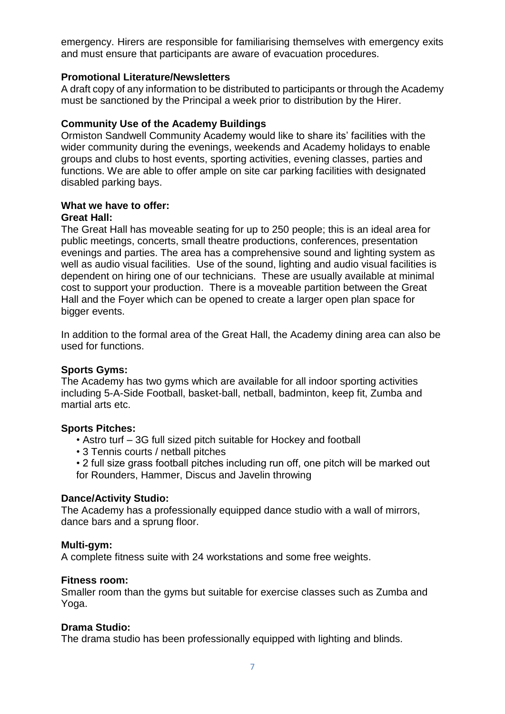emergency. Hirers are responsible for familiarising themselves with emergency exits and must ensure that participants are aware of evacuation procedures.

## **Promotional Literature/Newsletters**

A draft copy of any information to be distributed to participants or through the Academy must be sanctioned by the Principal a week prior to distribution by the Hirer.

## **Community Use of the Academy Buildings**

Ormiston Sandwell Community Academy would like to share its' facilities with the wider community during the evenings, weekends and Academy holidays to enable groups and clubs to host events, sporting activities, evening classes, parties and functions. We are able to offer ample on site car parking facilities with designated disabled parking bays.

## **What we have to offer:**

## **Great Hall:**

The Great Hall has moveable seating for up to 250 people; this is an ideal area for public meetings, concerts, small theatre productions, conferences, presentation evenings and parties. The area has a comprehensive sound and lighting system as well as audio visual facilities. Use of the sound, lighting and audio visual facilities is dependent on hiring one of our technicians. These are usually available at minimal cost to support your production. There is a moveable partition between the Great Hall and the Foyer which can be opened to create a larger open plan space for bigger events.

In addition to the formal area of the Great Hall, the Academy dining area can also be used for functions.

### **Sports Gyms:**

The Academy has two gyms which are available for all indoor sporting activities including 5-A-Side Football, basket-ball, netball, badminton, keep fit, Zumba and martial arts etc.

### **Sports Pitches:**

- Astro turf 3G full sized pitch suitable for Hockey and football
- 3 Tennis courts / netball pitches
- 2 full size grass football pitches including run off, one pitch will be marked out for Rounders, Hammer, Discus and Javelin throwing

### **Dance/Activity Studio:**

The Academy has a professionally equipped dance studio with a wall of mirrors, dance bars and a sprung floor.

### **Multi-gym:**

A complete fitness suite with 24 workstations and some free weights.

### **Fitness room:**

Smaller room than the gyms but suitable for exercise classes such as Zumba and Yoga.

### **Drama Studio:**

The drama studio has been professionally equipped with lighting and blinds.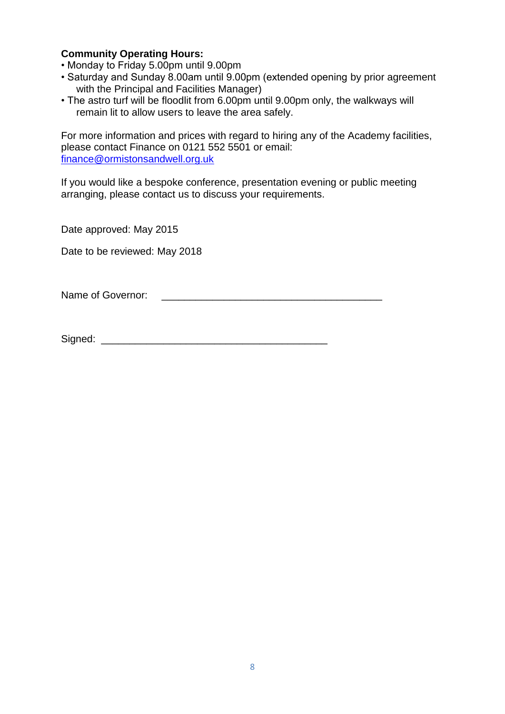## **Community Operating Hours:**

- Monday to Friday 5.00pm until 9.00pm
- Saturday and Sunday 8.00am until 9.00pm (extended opening by prior agreement with the Principal and Facilities Manager)
- The astro turf will be floodlit from 6.00pm until 9.00pm only, the walkways will remain lit to allow users to leave the area safely.

For more information and prices with regard to hiring any of the Academy facilities, please contact Finance on 0121 552 5501 or email: [finance@ormistonsandwell.org.uk](mailto:finance@ormistonsandwell.org.uk)

If you would like a bespoke conference, presentation evening or public meeting arranging, please contact us to discuss your requirements.

Date approved: May 2015

Date to be reviewed: May 2018

Name of Governor: **We also construct** 

Signed:  $\Box$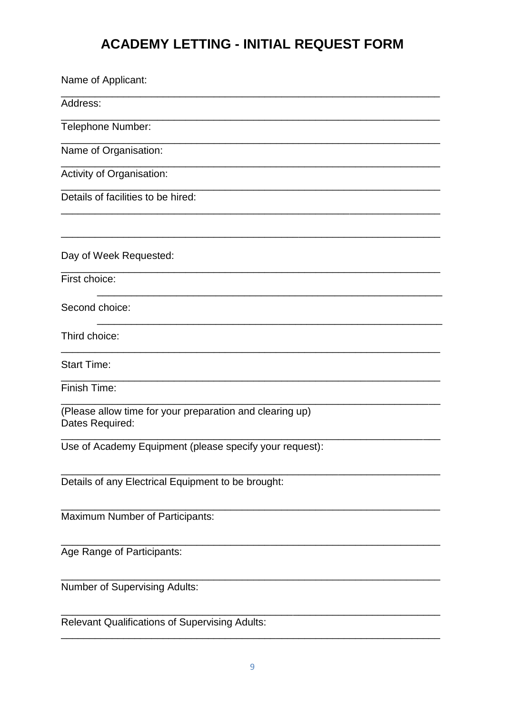# **ACADEMY LETTING - INITIAL REQUEST FORM**

| Name of Applicant:                                                          |
|-----------------------------------------------------------------------------|
| Address:                                                                    |
| Telephone Number:                                                           |
| Name of Organisation:                                                       |
| Activity of Organisation:                                                   |
| Details of facilities to be hired:                                          |
|                                                                             |
| Day of Week Requested:                                                      |
| First choice:                                                               |
| Second choice:                                                              |
| Third choice:                                                               |
| <b>Start Time:</b>                                                          |
| Finish Time:                                                                |
| (Please allow time for your preparation and clearing up)<br>Dates Required: |
| Use of Academy Equipment (please specify your request):                     |
| Details of any Electrical Equipment to be brought:                          |
| Maximum Number of Participants:                                             |
| Age Range of Participants:                                                  |
| Number of Supervising Adults:                                               |
| <b>Relevant Qualifications of Supervising Adults:</b>                       |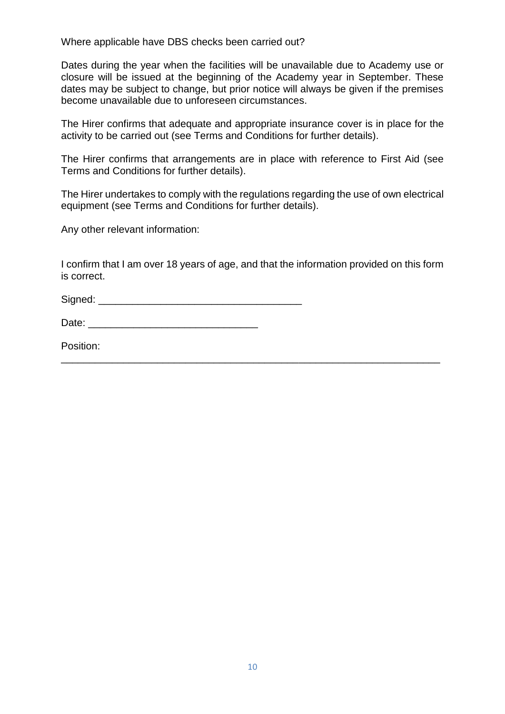Where applicable have DBS checks been carried out?

Dates during the year when the facilities will be unavailable due to Academy use or closure will be issued at the beginning of the Academy year in September. These dates may be subject to change, but prior notice will always be given if the premises become unavailable due to unforeseen circumstances.

The Hirer confirms that adequate and appropriate insurance cover is in place for the activity to be carried out (see Terms and Conditions for further details).

The Hirer confirms that arrangements are in place with reference to First Aid (see Terms and Conditions for further details).

The Hirer undertakes to comply with the regulations regarding the use of own electrical equipment (see Terms and Conditions for further details).

Any other relevant information:

I confirm that I am over 18 years of age, and that the information provided on this form is correct.

\_\_\_\_\_\_\_\_\_\_\_\_\_\_\_\_\_\_\_\_\_\_\_\_\_\_\_\_\_\_\_\_\_\_\_\_\_\_\_\_\_\_\_\_\_\_\_\_\_\_\_\_\_\_\_\_\_\_\_\_\_\_\_\_\_\_\_

Signed: \_\_\_\_\_\_\_\_\_\_\_\_\_\_\_\_\_\_\_\_\_\_\_\_\_\_\_\_\_\_\_\_\_\_\_\_

Date: \_\_\_\_\_\_\_\_\_\_\_\_\_\_\_\_\_\_\_\_\_\_\_\_\_\_\_\_\_\_

Position: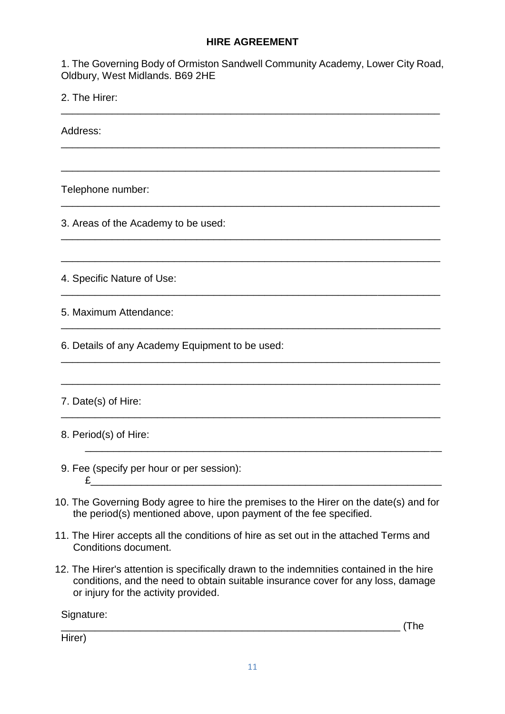## **HIRE AGREEMENT**

1. The Governing Body of Ormiston Sandwell Community Academy, Lower City Road, Oldbury, West Midlands. B69 2HE

\_\_\_\_\_\_\_\_\_\_\_\_\_\_\_\_\_\_\_\_\_\_\_\_\_\_\_\_\_\_\_\_\_\_\_\_\_\_\_\_\_\_\_\_\_\_\_\_\_\_\_\_\_\_\_\_\_\_\_\_\_\_\_\_\_\_\_

\_\_\_\_\_\_\_\_\_\_\_\_\_\_\_\_\_\_\_\_\_\_\_\_\_\_\_\_\_\_\_\_\_\_\_\_\_\_\_\_\_\_\_\_\_\_\_\_\_\_\_\_\_\_\_\_\_\_\_\_\_\_\_\_\_\_\_

\_\_\_\_\_\_\_\_\_\_\_\_\_\_\_\_\_\_\_\_\_\_\_\_\_\_\_\_\_\_\_\_\_\_\_\_\_\_\_\_\_\_\_\_\_\_\_\_\_\_\_\_\_\_\_\_\_\_\_\_\_\_\_\_\_\_\_

\_\_\_\_\_\_\_\_\_\_\_\_\_\_\_\_\_\_\_\_\_\_\_\_\_\_\_\_\_\_\_\_\_\_\_\_\_\_\_\_\_\_\_\_\_\_\_\_\_\_\_\_\_\_\_\_\_\_\_\_\_\_\_\_\_\_\_

\_\_\_\_\_\_\_\_\_\_\_\_\_\_\_\_\_\_\_\_\_\_\_\_\_\_\_\_\_\_\_\_\_\_\_\_\_\_\_\_\_\_\_\_\_\_\_\_\_\_\_\_\_\_\_\_\_\_\_\_\_\_\_\_\_\_\_

\_\_\_\_\_\_\_\_\_\_\_\_\_\_\_\_\_\_\_\_\_\_\_\_\_\_\_\_\_\_\_\_\_\_\_\_\_\_\_\_\_\_\_\_\_\_\_\_\_\_\_\_\_\_\_\_\_\_\_\_\_\_\_\_\_\_\_

\_\_\_\_\_\_\_\_\_\_\_\_\_\_\_\_\_\_\_\_\_\_\_\_\_\_\_\_\_\_\_\_\_\_\_\_\_\_\_\_\_\_\_\_\_\_\_\_\_\_\_\_\_\_\_\_\_\_\_\_\_\_\_\_\_\_\_

\_\_\_\_\_\_\_\_\_\_\_\_\_\_\_\_\_\_\_\_\_\_\_\_\_\_\_\_\_\_\_\_\_\_\_\_\_\_\_\_\_\_\_\_\_\_\_\_\_\_\_\_\_\_\_\_\_\_\_\_\_\_\_\_\_\_\_

\_\_\_\_\_\_\_\_\_\_\_\_\_\_\_\_\_\_\_\_\_\_\_\_\_\_\_\_\_\_\_\_\_\_\_\_\_\_\_\_\_\_\_\_\_\_\_\_\_\_\_\_\_\_\_\_\_\_\_\_\_\_\_\_\_\_\_

\_\_\_\_\_\_\_\_\_\_\_\_\_\_\_\_\_\_\_\_\_\_\_\_\_\_\_\_\_\_\_\_\_\_\_\_\_\_\_\_\_\_\_\_\_\_\_\_\_\_\_\_\_\_\_\_\_\_\_\_\_\_\_\_\_\_\_

\_\_\_\_\_\_\_\_\_\_\_\_\_\_\_\_\_\_\_\_\_\_\_\_\_\_\_\_\_\_\_\_\_\_\_\_\_\_\_\_\_\_\_\_\_\_\_\_\_\_\_\_\_\_\_\_\_\_\_\_\_\_\_\_\_\_\_

\_\_\_\_\_\_\_\_\_\_\_\_\_\_\_\_\_\_\_\_\_\_\_\_\_\_\_\_\_\_\_\_\_\_\_\_\_\_\_\_\_\_\_\_\_\_\_\_\_\_\_\_\_\_\_\_\_\_\_\_\_\_\_

2. The Hirer:

Address:

Telephone number:

3. Areas of the Academy to be used:

4. Specific Nature of Use:

5. Maximum Attendance:

6. Details of any Academy Equipment to be used:

7. Date(s) of Hire:

8. Period(s) of Hire:

- 9. Fee (specify per hour or per session):  $E$
- 10. The Governing Body agree to hire the premises to the Hirer on the date(s) and for the period(s) mentioned above, upon payment of the fee specified.
- 11. The Hirer accepts all the conditions of hire as set out in the attached Terms and Conditions document.
- 12. The Hirer's attention is specifically drawn to the indemnities contained in the hire conditions, and the need to obtain suitable insurance cover for any loss, damage or injury for the activity provided.

Signature:

\_\_\_\_\_\_\_\_\_\_\_\_\_\_\_\_\_\_\_\_\_\_\_\_\_\_\_\_\_\_\_\_\_\_\_\_\_\_\_\_\_\_\_\_\_\_\_\_\_\_\_\_\_\_\_\_\_\_\_\_ (The

Hirer)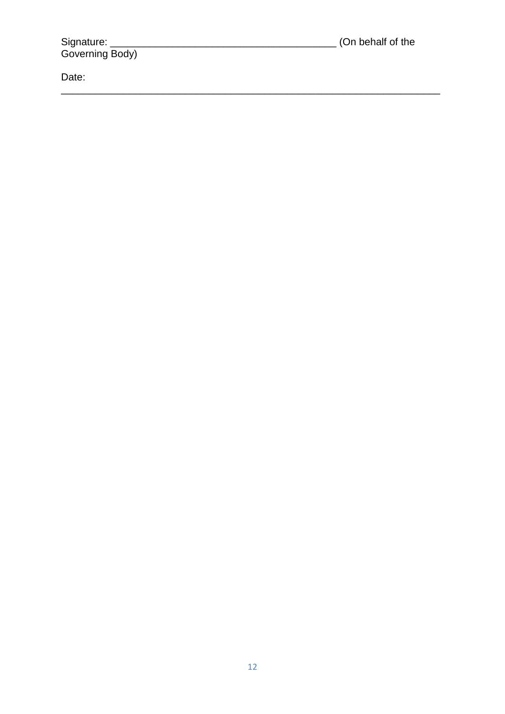Date: